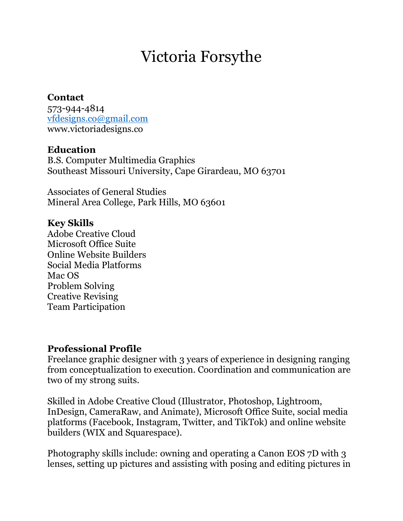# Victoria Forsythe

#### **Contact**

573-944-4814 [vfdesigns.co@gmail.com](mailto:vfdesigns.co@gmail.com) www.victoriadesigns.co

### **Education**

B.S. Computer Multimedia Graphics Southeast Missouri University, Cape Girardeau, MO 63701

Associates of General Studies Mineral Area College, Park Hills, MO 63601

#### **Key Skills**

Adobe Creative Cloud Microsoft Office Suite Online Website Builders Social Media Platforms Mac OS Problem Solving Creative Revising Team Participation

#### **Professional Profile**

Freelance graphic designer with 3 years of experience in designing ranging from conceptualization to execution. Coordination and communication are two of my strong suits.

Skilled in Adobe Creative Cloud (Illustrator, Photoshop, Lightroom, InDesign, CameraRaw, and Animate), Microsoft Office Suite, social media platforms (Facebook, Instagram, Twitter, and TikTok) and online website builders (WIX and Squarespace).

Photography skills include: owning and operating a Canon EOS 7D with 3 lenses, setting up pictures and assisting with posing and editing pictures in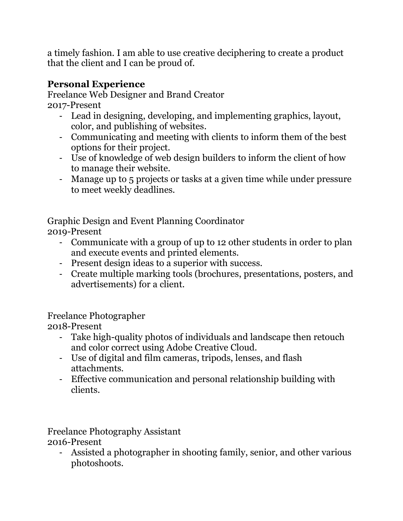a timely fashion. I am able to use creative deciphering to create a product that the client and I can be proud of.

## **Personal Experience**

Freelance Web Designer and Brand Creator 2017-Present

- Lead in designing, developing, and implementing graphics, layout, color, and publishing of websites.
- Communicating and meeting with clients to inform them of the best options for their project.
- Use of knowledge of web design builders to inform the client of how to manage their website.
- Manage up to 5 projects or tasks at a given time while under pressure to meet weekly deadlines.

Graphic Design and Event Planning Coordinator 2019-Present

- Communicate with a group of up to 12 other students in order to plan and execute events and printed elements.
- Present design ideas to a superior with success.
- Create multiple marking tools (brochures, presentations, posters, and advertisements) for a client.

## Freelance Photographer

2018-Present

- Take high-quality photos of individuals and landscape then retouch and color correct using Adobe Creative Cloud.
- Use of digital and film cameras, tripods, lenses, and flash attachments.
- Effective communication and personal relationship building with clients.

Freelance Photography Assistant 2016-Present

- Assisted a photographer in shooting family, senior, and other various photoshoots.